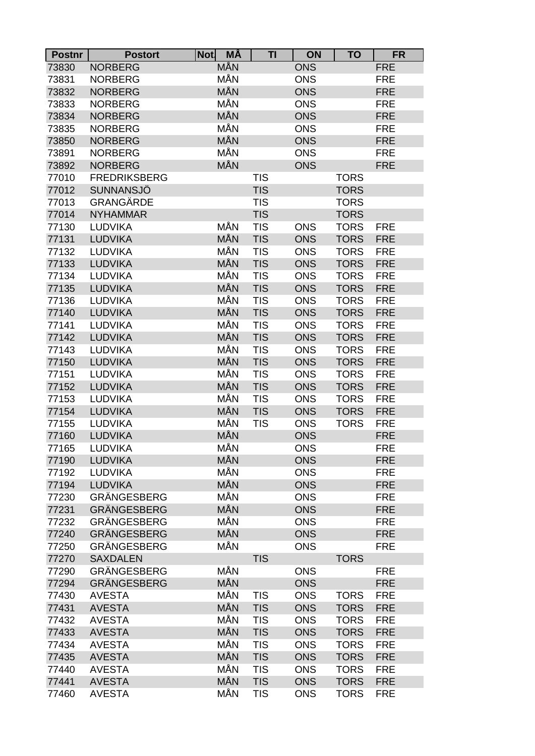| <b>MÅN</b><br><b>ONS</b><br>73830<br><b>NORBERG</b><br><b>FRE</b><br>MÅN<br>73831<br><b>ONS</b><br><b>FRE</b><br><b>NORBERG</b><br>MÅN<br><b>NORBERG</b><br><b>ONS</b><br>73832<br><b>FRE</b><br>MÅN<br><b>NORBERG</b><br><b>ONS</b><br><b>FRE</b><br>73833<br>MÅN<br><b>NORBERG</b><br><b>ONS</b><br><b>FRE</b><br>73834<br>MÅN<br><b>NORBERG</b><br><b>ONS</b><br>73835<br><b>FRE</b><br>MÅN<br><b>NORBERG</b><br>73850<br><b>ONS</b><br><b>FRE</b><br>MÅN<br>73891<br><b>NORBERG</b><br><b>ONS</b><br><b>FRE</b><br>MÅN<br><b>NORBERG</b><br><b>ONS</b><br>73892<br><b>FRE</b><br><b>FREDRIKSBERG</b><br>77010<br><b>TIS</b><br><b>TORS</b><br><b>SUNNANSJÖ</b><br>77012<br><b>TIS</b><br><b>TORS</b><br><b>GRANGÄRDE</b><br>77013<br><b>TIS</b><br><b>TORS</b> |  |
|--------------------------------------------------------------------------------------------------------------------------------------------------------------------------------------------------------------------------------------------------------------------------------------------------------------------------------------------------------------------------------------------------------------------------------------------------------------------------------------------------------------------------------------------------------------------------------------------------------------------------------------------------------------------------------------------------------------------------------------------------------------------|--|
|                                                                                                                                                                                                                                                                                                                                                                                                                                                                                                                                                                                                                                                                                                                                                                    |  |
|                                                                                                                                                                                                                                                                                                                                                                                                                                                                                                                                                                                                                                                                                                                                                                    |  |
|                                                                                                                                                                                                                                                                                                                                                                                                                                                                                                                                                                                                                                                                                                                                                                    |  |
|                                                                                                                                                                                                                                                                                                                                                                                                                                                                                                                                                                                                                                                                                                                                                                    |  |
|                                                                                                                                                                                                                                                                                                                                                                                                                                                                                                                                                                                                                                                                                                                                                                    |  |
|                                                                                                                                                                                                                                                                                                                                                                                                                                                                                                                                                                                                                                                                                                                                                                    |  |
|                                                                                                                                                                                                                                                                                                                                                                                                                                                                                                                                                                                                                                                                                                                                                                    |  |
|                                                                                                                                                                                                                                                                                                                                                                                                                                                                                                                                                                                                                                                                                                                                                                    |  |
|                                                                                                                                                                                                                                                                                                                                                                                                                                                                                                                                                                                                                                                                                                                                                                    |  |
|                                                                                                                                                                                                                                                                                                                                                                                                                                                                                                                                                                                                                                                                                                                                                                    |  |
|                                                                                                                                                                                                                                                                                                                                                                                                                                                                                                                                                                                                                                                                                                                                                                    |  |
|                                                                                                                                                                                                                                                                                                                                                                                                                                                                                                                                                                                                                                                                                                                                                                    |  |
| 77014<br><b>TIS</b><br><b>TORS</b><br><b>NYHAMMAR</b>                                                                                                                                                                                                                                                                                                                                                                                                                                                                                                                                                                                                                                                                                                              |  |
| MÅN<br><b>LUDVIKA</b><br><b>TIS</b><br><b>ONS</b><br><b>TORS</b><br>77130<br><b>FRE</b>                                                                                                                                                                                                                                                                                                                                                                                                                                                                                                                                                                                                                                                                            |  |
| MÅN<br><b>LUDVIKA</b><br><b>TIS</b><br>77131<br><b>ONS</b><br><b>TORS</b><br><b>FRE</b>                                                                                                                                                                                                                                                                                                                                                                                                                                                                                                                                                                                                                                                                            |  |
| MÅN<br><b>TIS</b><br>77132<br><b>LUDVIKA</b><br><b>ONS</b><br><b>TORS</b><br><b>FRE</b>                                                                                                                                                                                                                                                                                                                                                                                                                                                                                                                                                                                                                                                                            |  |
| MÅN<br><b>TIS</b><br>77133<br><b>LUDVIKA</b><br><b>ONS</b><br><b>TORS</b><br><b>FRE</b>                                                                                                                                                                                                                                                                                                                                                                                                                                                                                                                                                                                                                                                                            |  |
| MÅN<br>77134<br><b>LUDVIKA</b><br><b>TIS</b><br><b>ONS</b><br><b>TORS</b><br><b>FRE</b>                                                                                                                                                                                                                                                                                                                                                                                                                                                                                                                                                                                                                                                                            |  |
| MÅN<br><b>LUDVIKA</b><br><b>TIS</b><br><b>ONS</b><br><b>TORS</b><br>77135<br><b>FRE</b>                                                                                                                                                                                                                                                                                                                                                                                                                                                                                                                                                                                                                                                                            |  |
| MÅN<br><b>TIS</b><br><b>LUDVIKA</b><br><b>ONS</b><br><b>TORS</b><br><b>FRE</b><br>77136                                                                                                                                                                                                                                                                                                                                                                                                                                                                                                                                                                                                                                                                            |  |
| MÅN<br><b>LUDVIKA</b><br><b>TIS</b><br><b>TORS</b><br>77140<br><b>ONS</b><br><b>FRE</b>                                                                                                                                                                                                                                                                                                                                                                                                                                                                                                                                                                                                                                                                            |  |
| MÅN<br><b>LUDVIKA</b><br><b>TIS</b><br>77141<br><b>ONS</b><br><b>TORS</b><br><b>FRE</b>                                                                                                                                                                                                                                                                                                                                                                                                                                                                                                                                                                                                                                                                            |  |
| MÅN<br><b>TIS</b><br>77142<br><b>LUDVIKA</b><br><b>ONS</b><br><b>TORS</b><br><b>FRE</b>                                                                                                                                                                                                                                                                                                                                                                                                                                                                                                                                                                                                                                                                            |  |
| MÅN<br><b>LUDVIKA</b><br><b>TIS</b><br>77143<br><b>ONS</b><br><b>TORS</b><br><b>FRE</b>                                                                                                                                                                                                                                                                                                                                                                                                                                                                                                                                                                                                                                                                            |  |
| MÅN<br><b>LUDVIKA</b><br><b>TIS</b><br><b>ONS</b><br><b>TORS</b><br>77150<br><b>FRE</b>                                                                                                                                                                                                                                                                                                                                                                                                                                                                                                                                                                                                                                                                            |  |
| MÅN<br><b>TIS</b><br>77151<br><b>LUDVIKA</b><br><b>ONS</b><br><b>TORS</b><br><b>FRE</b>                                                                                                                                                                                                                                                                                                                                                                                                                                                                                                                                                                                                                                                                            |  |
| MÅN<br><b>TIS</b><br><b>LUDVIKA</b><br><b>ONS</b><br><b>TORS</b><br>77152<br><b>FRE</b>                                                                                                                                                                                                                                                                                                                                                                                                                                                                                                                                                                                                                                                                            |  |
| MÅN<br><b>LUDVIKA</b><br><b>TIS</b><br><b>ONS</b><br><b>TORS</b><br>77153<br><b>FRE</b>                                                                                                                                                                                                                                                                                                                                                                                                                                                                                                                                                                                                                                                                            |  |
| <b>LUDVIKA</b><br><b>MÅN</b><br><b>TIS</b><br><b>TORS</b><br>77154<br><b>ONS</b><br><b>FRE</b>                                                                                                                                                                                                                                                                                                                                                                                                                                                                                                                                                                                                                                                                     |  |
| MÅN<br><b>TIS</b><br><b>ONS</b><br><b>FRE</b><br>77155<br><b>LUDVIKA</b><br><b>TORS</b>                                                                                                                                                                                                                                                                                                                                                                                                                                                                                                                                                                                                                                                                            |  |
| MÅN<br><b>LUDVIKA</b><br>77160<br><b>ONS</b><br><b>FRE</b>                                                                                                                                                                                                                                                                                                                                                                                                                                                                                                                                                                                                                                                                                                         |  |
| MÅN<br>LUDVIKA<br><b>ONS</b><br>77165<br><b>FRE</b>                                                                                                                                                                                                                                                                                                                                                                                                                                                                                                                                                                                                                                                                                                                |  |
| MÅN<br><b>LUDVIKA</b><br><b>ONS</b><br><b>FRE</b><br>77190                                                                                                                                                                                                                                                                                                                                                                                                                                                                                                                                                                                                                                                                                                         |  |
| MÅN<br><b>ONS</b><br><b>FRE</b><br>77192<br><b>LUDVIKA</b>                                                                                                                                                                                                                                                                                                                                                                                                                                                                                                                                                                                                                                                                                                         |  |
| MÅN<br>77194<br><b>LUDVIKA</b><br><b>ONS</b><br><b>FRE</b>                                                                                                                                                                                                                                                                                                                                                                                                                                                                                                                                                                                                                                                                                                         |  |
| MÅN<br>GRÄNGESBERG<br><b>ONS</b><br><b>FRE</b><br>77230                                                                                                                                                                                                                                                                                                                                                                                                                                                                                                                                                                                                                                                                                                            |  |
| MÅN<br><b>GRÄNGESBERG</b><br><b>ONS</b><br><b>FRE</b><br>77231                                                                                                                                                                                                                                                                                                                                                                                                                                                                                                                                                                                                                                                                                                     |  |
| MÅN<br><b>GRÄNGESBERG</b><br><b>ONS</b><br><b>FRE</b><br>77232                                                                                                                                                                                                                                                                                                                                                                                                                                                                                                                                                                                                                                                                                                     |  |
| MÅN<br><b>GRÄNGESBERG</b><br>77240<br><b>ONS</b><br><b>FRE</b>                                                                                                                                                                                                                                                                                                                                                                                                                                                                                                                                                                                                                                                                                                     |  |
| MÅN<br>GRÄNGESBERG<br>77250<br><b>ONS</b><br><b>FRE</b>                                                                                                                                                                                                                                                                                                                                                                                                                                                                                                                                                                                                                                                                                                            |  |
| <b>SAXDALEN</b><br><b>TIS</b><br><b>TORS</b><br>77270                                                                                                                                                                                                                                                                                                                                                                                                                                                                                                                                                                                                                                                                                                              |  |
| MÅN<br><b>GRÄNGESBERG</b><br><b>ONS</b><br>77290<br><b>FRE</b>                                                                                                                                                                                                                                                                                                                                                                                                                                                                                                                                                                                                                                                                                                     |  |
| <b>GRÄNGESBERG</b><br>MÅN<br>77294<br><b>ONS</b><br><b>FRE</b>                                                                                                                                                                                                                                                                                                                                                                                                                                                                                                                                                                                                                                                                                                     |  |
| MÅN<br><b>TIS</b><br><b>ONS</b><br><b>FRE</b><br>77430<br><b>AVESTA</b><br><b>TORS</b>                                                                                                                                                                                                                                                                                                                                                                                                                                                                                                                                                                                                                                                                             |  |
| MÅN<br><b>TIS</b><br>77431<br><b>ONS</b><br><b>TORS</b><br><b>FRE</b><br><b>AVESTA</b>                                                                                                                                                                                                                                                                                                                                                                                                                                                                                                                                                                                                                                                                             |  |
| MÅN<br><b>AVESTA</b><br><b>TIS</b><br><b>ONS</b><br><b>TORS</b><br><b>FRE</b><br>77432                                                                                                                                                                                                                                                                                                                                                                                                                                                                                                                                                                                                                                                                             |  |
| MÅN<br><b>TIS</b><br>77433<br><b>AVESTA</b><br><b>ONS</b><br><b>TORS</b><br><b>FRE</b>                                                                                                                                                                                                                                                                                                                                                                                                                                                                                                                                                                                                                                                                             |  |
| MÅN<br><b>TIS</b><br><b>FRE</b><br>77434<br><b>AVESTA</b><br><b>ONS</b><br><b>TORS</b>                                                                                                                                                                                                                                                                                                                                                                                                                                                                                                                                                                                                                                                                             |  |
| MÅN<br><b>TIS</b><br>77435<br><b>ONS</b><br><b>TORS</b><br><b>AVESTA</b><br><b>FRE</b>                                                                                                                                                                                                                                                                                                                                                                                                                                                                                                                                                                                                                                                                             |  |
| MÅN<br><b>AVESTA</b><br><b>TIS</b><br><b>ONS</b><br><b>TORS</b><br><b>FRE</b><br>77440                                                                                                                                                                                                                                                                                                                                                                                                                                                                                                                                                                                                                                                                             |  |
| MÅN<br><b>TIS</b><br><b>ONS</b><br><b>TORS</b><br><b>FRE</b><br>77441<br><b>AVESTA</b>                                                                                                                                                                                                                                                                                                                                                                                                                                                                                                                                                                                                                                                                             |  |
| MÅN<br><b>TIS</b><br><b>AVESTA</b><br><b>ONS</b><br><b>TORS</b><br><b>FRE</b><br>77460                                                                                                                                                                                                                                                                                                                                                                                                                                                                                                                                                                                                                                                                             |  |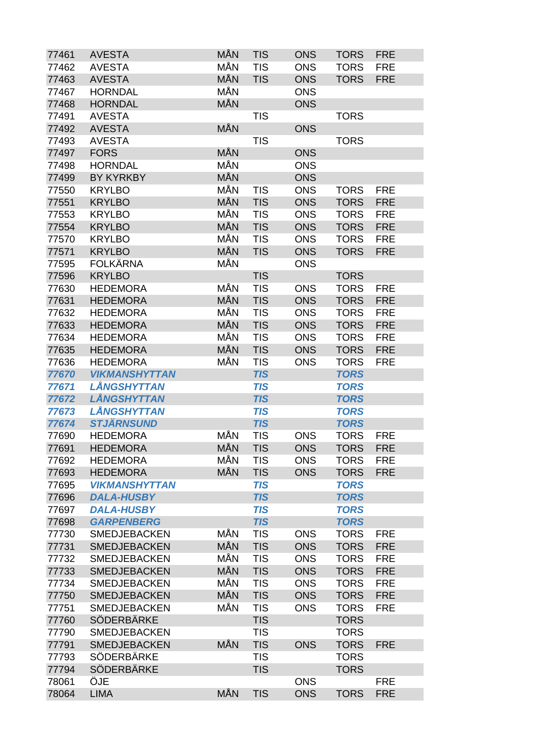| 77461 | <b>AVESTA</b>        | <b>MÅN</b> | <b>TIS</b> | <b>ONS</b> | <b>TORS</b> | <b>FRE</b> |
|-------|----------------------|------------|------------|------------|-------------|------------|
| 77462 | <b>AVESTA</b>        | MÅN        | <b>TIS</b> | <b>ONS</b> | <b>TORS</b> | <b>FRE</b> |
| 77463 | <b>AVESTA</b>        | <b>MÅN</b> | <b>TIS</b> | <b>ONS</b> | <b>TORS</b> | <b>FRE</b> |
| 77467 | <b>HORNDAL</b>       | MÅN        |            | <b>ONS</b> |             |            |
| 77468 | <b>HORNDAL</b>       | MÅN        |            | <b>ONS</b> |             |            |
| 77491 | <b>AVESTA</b>        |            | <b>TIS</b> |            | <b>TORS</b> |            |
| 77492 | <b>AVESTA</b>        | MÅN        |            | <b>ONS</b> |             |            |
| 77493 | <b>AVESTA</b>        |            | <b>TIS</b> |            | <b>TORS</b> |            |
| 77497 | <b>FORS</b>          | <b>MÅN</b> |            | <b>ONS</b> |             |            |
| 77498 | <b>HORNDAL</b>       | <b>MÅN</b> |            | <b>ONS</b> |             |            |
| 77499 | <b>BY KYRKBY</b>     | <b>MÅN</b> |            | <b>ONS</b> |             |            |
| 77550 | <b>KRYLBO</b>        | MÅN        | <b>TIS</b> | <b>ONS</b> | <b>TORS</b> | <b>FRE</b> |
| 77551 | <b>KRYLBO</b>        | <b>MÅN</b> | <b>TIS</b> | <b>ONS</b> | <b>TORS</b> | <b>FRE</b> |
| 77553 | <b>KRYLBO</b>        | MÅN        | <b>TIS</b> | <b>ONS</b> | <b>TORS</b> | <b>FRE</b> |
| 77554 | <b>KRYLBO</b>        | MÅN        | <b>TIS</b> | <b>ONS</b> | <b>TORS</b> | <b>FRE</b> |
| 77570 | <b>KRYLBO</b>        | MÅN        | <b>TIS</b> | <b>ONS</b> | <b>TORS</b> | <b>FRE</b> |
| 77571 | <b>KRYLBO</b>        | <b>MÅN</b> | <b>TIS</b> | <b>ONS</b> | <b>TORS</b> | <b>FRE</b> |
| 77595 | <b>FOLKÄRNA</b>      | MÅN        |            | <b>ONS</b> |             |            |
| 77596 | <b>KRYLBO</b>        |            | <b>TIS</b> |            | <b>TORS</b> |            |
| 77630 | <b>HEDEMORA</b>      | MÅN        | <b>TIS</b> | <b>ONS</b> | <b>TORS</b> | <b>FRE</b> |
| 77631 | <b>HEDEMORA</b>      | <b>MÅN</b> | <b>TIS</b> | <b>ONS</b> | <b>TORS</b> | <b>FRE</b> |
| 77632 | <b>HEDEMORA</b>      | MÅN        | <b>TIS</b> | <b>ONS</b> | <b>TORS</b> | <b>FRE</b> |
| 77633 | <b>HEDEMORA</b>      | MÅN        | <b>TIS</b> | <b>ONS</b> | <b>TORS</b> | <b>FRE</b> |
| 77634 | <b>HEDEMORA</b>      | <b>MÅN</b> | <b>TIS</b> | <b>ONS</b> | <b>TORS</b> | <b>FRE</b> |
| 77635 | <b>HEDEMORA</b>      | <b>MÅN</b> | <b>TIS</b> | <b>ONS</b> | <b>TORS</b> | <b>FRE</b> |
| 77636 | <b>HEDEMORA</b>      | MÅN        | <b>TIS</b> | <b>ONS</b> | <b>TORS</b> | <b>FRE</b> |
| 77670 | <b>VIKMANSHYTTAN</b> |            | <b>TIS</b> |            | <b>TORS</b> |            |
| 77671 | LÅNGSHYTTAN          |            | <b>TIS</b> |            | <b>TORS</b> |            |
| 77672 | <b>LÅNGSHYTTAN</b>   |            | <b>TIS</b> |            | <b>TORS</b> |            |
| 77673 | <b>LÅNGSHYTTAN</b>   |            | <b>TIS</b> |            | <b>TORS</b> |            |
| 77674 | <b>STJÄRNSUND</b>    |            | <b>TIS</b> |            | <b>TORS</b> |            |
| 77690 | <b>HEDEMORA</b>      | MÅN        | <b>TIS</b> | <b>ONS</b> | <b>TORS</b> | <b>FRE</b> |
| 77691 | <b>HEDEMORA</b>      | MÅN        | <b>TIS</b> | <b>ONS</b> | <b>TORS</b> | <b>FRE</b> |
| 77692 | <b>HEDEMORA</b>      | MÅN        | <b>TIS</b> | <b>ONS</b> | <b>TORS</b> | <b>FRE</b> |
| 77693 | <b>HEDEMORA</b>      | MÅN        | <b>TIS</b> | <b>ONS</b> | <b>TORS</b> | <b>FRE</b> |
| 77695 | <b>VIKMANSHYTTAN</b> |            | <b>TIS</b> |            | <b>TORS</b> |            |
| 77696 | <b>DALA-HUSBY</b>    |            | <b>TIS</b> |            | <b>TORS</b> |            |
| 77697 | <b>DALA-HUSBY</b>    |            | <b>TIS</b> |            | <b>TORS</b> |            |
| 77698 | <b>GARPENBERG</b>    |            | <b>TIS</b> |            | <b>TORS</b> |            |
| 77730 | <b>SMEDJEBACKEN</b>  | MÅN        | <b>TIS</b> | <b>ONS</b> | <b>TORS</b> | <b>FRE</b> |
| 77731 | <b>SMEDJEBACKEN</b>  | MÅN        | <b>TIS</b> | <b>ONS</b> | <b>TORS</b> | <b>FRE</b> |
| 77732 | <b>SMEDJEBACKEN</b>  | <b>MÅN</b> | <b>TIS</b> | <b>ONS</b> | <b>TORS</b> | <b>FRE</b> |
| 77733 | <b>SMEDJEBACKEN</b>  | MÅN        | <b>TIS</b> | <b>ONS</b> | <b>TORS</b> | <b>FRE</b> |
| 77734 | <b>SMEDJEBACKEN</b>  | MÅN        | <b>TIS</b> | <b>ONS</b> | <b>TORS</b> | <b>FRE</b> |
| 77750 | <b>SMEDJEBACKEN</b>  | MÅN        | <b>TIS</b> | <b>ONS</b> | <b>TORS</b> | <b>FRE</b> |
| 77751 | <b>SMEDJEBACKEN</b>  | MÅN        | <b>TIS</b> | <b>ONS</b> | <b>TORS</b> | <b>FRE</b> |
| 77760 | <b>SÖDERBÄRKE</b>    |            | <b>TIS</b> |            | <b>TORS</b> |            |
| 77790 | <b>SMEDJEBACKEN</b>  |            | <b>TIS</b> |            | <b>TORS</b> |            |
| 77791 | SMEDJEBACKEN         | MÅN        | <b>TIS</b> | <b>ONS</b> | <b>TORS</b> | <b>FRE</b> |
| 77793 | <b>SÖDERBÄRKE</b>    |            | <b>TIS</b> |            | <b>TORS</b> |            |
| 77794 | <b>SÖDERBÄRKE</b>    |            | <b>TIS</b> |            | <b>TORS</b> |            |
| 78061 | ÖJE                  |            |            | <b>ONS</b> |             | <b>FRE</b> |
| 78064 | <b>LIMA</b>          | MÅN        | <b>TIS</b> | <b>ONS</b> | <b>TORS</b> | <b>FRE</b> |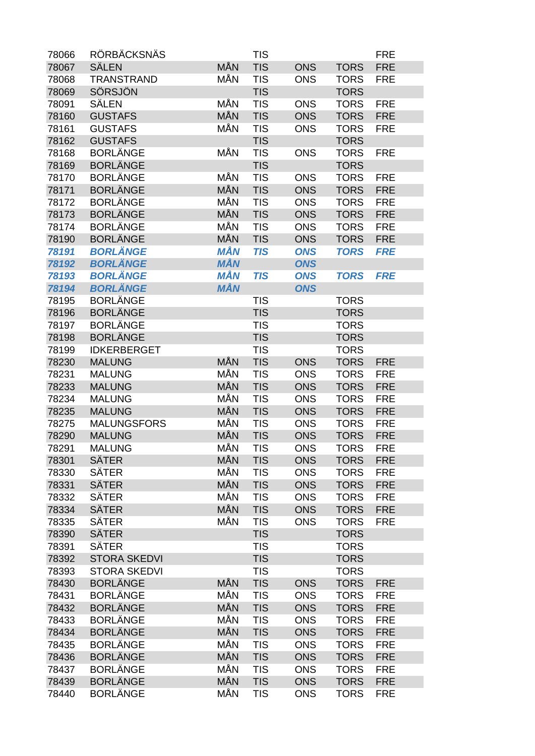| 78066 | RÖRBÄCKSNÄS         |                   | <b>TIS</b> |            |             | <b>FRE</b> |
|-------|---------------------|-------------------|------------|------------|-------------|------------|
| 78067 | SÄLEN               | MÅN               | <b>TIS</b> | <b>ONS</b> | <b>TORS</b> | <b>FRE</b> |
| 78068 | <b>TRANSTRAND</b>   | MÅN               | <b>TIS</b> | <b>ONS</b> | <b>TORS</b> | <b>FRE</b> |
| 78069 | SÖRSJÖN             |                   | <b>TIS</b> |            | <b>TORS</b> |            |
| 78091 | SÄLEN               | MÅN               | <b>TIS</b> | <b>ONS</b> | <b>TORS</b> | <b>FRE</b> |
| 78160 | <b>GUSTAFS</b>      | <b>MÅN</b>        | <b>TIS</b> | <b>ONS</b> | <b>TORS</b> | <b>FRE</b> |
| 78161 | <b>GUSTAFS</b>      | <b>MÅN</b>        | <b>TIS</b> | <b>ONS</b> | <b>TORS</b> | <b>FRE</b> |
| 78162 | <b>GUSTAFS</b>      |                   | <b>TIS</b> |            | <b>TORS</b> |            |
| 78168 | <b>BORLÄNGE</b>     | MÅN               | <b>TIS</b> | <b>ONS</b> | <b>TORS</b> | <b>FRE</b> |
| 78169 | <b>BORLÄNGE</b>     |                   | <b>TIS</b> |            | <b>TORS</b> |            |
| 78170 | <b>BORLÄNGE</b>     | MÅN               | <b>TIS</b> | <b>ONS</b> | <b>TORS</b> | <b>FRE</b> |
| 78171 | <b>BORLÄNGE</b>     | MÅN               | <b>TIS</b> | <b>ONS</b> | <b>TORS</b> | <b>FRE</b> |
| 78172 | <b>BORLÄNGE</b>     | MÅN               | <b>TIS</b> | <b>ONS</b> | <b>TORS</b> | <b>FRE</b> |
| 78173 | <b>BORLÄNGE</b>     | <b>MÅN</b>        | <b>TIS</b> | <b>ONS</b> | <b>TORS</b> | <b>FRE</b> |
| 78174 | <b>BORLÄNGE</b>     | MÅN               | <b>TIS</b> | <b>ONS</b> | <b>TORS</b> | <b>FRE</b> |
| 78190 | <b>BORLÄNGE</b>     | MÅN               | <b>TIS</b> | <b>ONS</b> | <b>TORS</b> | <b>FRE</b> |
| 78191 | <b>BORLÄNGE</b>     | <b>MÅN</b>        | <b>TIS</b> | <b>ONS</b> | <b>TORS</b> | <b>FRE</b> |
| 78192 | <b>BORLÄNGE</b>     | <b>MÅN</b>        |            | <b>ONS</b> |             |            |
| 78193 | <b>BORLÄNGE</b>     | <b>MÅN</b>        | <b>TIS</b> | <b>ONS</b> | <b>TORS</b> | <b>FRE</b> |
| 78194 | <b>BORLÄNGE</b>     | <b>MÅN</b>        |            | <b>ONS</b> |             |            |
| 78195 | <b>BORLÄNGE</b>     |                   | <b>TIS</b> |            | <b>TORS</b> |            |
| 78196 | <b>BORLÄNGE</b>     |                   | <b>TIS</b> |            | <b>TORS</b> |            |
| 78197 | <b>BORLÄNGE</b>     |                   | <b>TIS</b> |            | <b>TORS</b> |            |
| 78198 | <b>BORLÄNGE</b>     |                   | <b>TIS</b> |            | <b>TORS</b> |            |
| 78199 | <b>IDKERBERGET</b>  |                   | <b>TIS</b> |            | <b>TORS</b> |            |
| 78230 | <b>MALUNG</b>       | MÅN               | <b>TIS</b> | <b>ONS</b> | <b>TORS</b> | <b>FRE</b> |
| 78231 | <b>MALUNG</b>       | MÅN               | <b>TIS</b> | <b>ONS</b> | <b>TORS</b> | <b>FRE</b> |
| 78233 | <b>MALUNG</b>       | <b>MÅN</b>        | <b>TIS</b> | <b>ONS</b> | <b>TORS</b> | <b>FRE</b> |
| 78234 | <b>MALUNG</b>       | MÅN               | <b>TIS</b> | <b>ONS</b> | <b>TORS</b> | <b>FRE</b> |
| 78235 | <b>MALUNG</b>       | MÅN               | <b>TIS</b> | <b>ONS</b> | <b>TORS</b> | <b>FRE</b> |
| 78275 | <b>MALUNGSFORS</b>  | MÅN               | <b>TIS</b> | <b>ONS</b> |             | <b>FRE</b> |
|       |                     |                   |            |            | <b>TORS</b> | <b>FRE</b> |
| 78290 | <b>MALUNG</b>       | <b>MÅN</b><br>MÅN | <b>TIS</b> | <b>ONS</b> | <b>TORS</b> |            |
| 78291 | <b>MALUNG</b>       |                   | <b>TIS</b> | <b>ONS</b> | <b>TORS</b> | <b>FRE</b> |
| 78301 | SÄTER               | <b>MÅN</b>        | <b>TIS</b> | <b>ONS</b> | <b>TORS</b> | <b>FRE</b> |
| 78330 | <b>SÄTER</b>        | MÅN               | <b>TIS</b> | <b>ONS</b> | <b>TORS</b> | <b>FRE</b> |
| 78331 | <b>SÄTER</b>        | MÅN               | <b>TIS</b> | <b>ONS</b> | <b>TORS</b> | <b>FRE</b> |
| 78332 | <b>SÄTER</b>        | MÅN               | <b>TIS</b> | <b>ONS</b> | <b>TORS</b> | <b>FRE</b> |
| 78334 | <b>SÄTER</b>        | MÅN               | <b>TIS</b> | <b>ONS</b> | <b>TORS</b> | <b>FRE</b> |
| 78335 | SÄTER               | MÅN               | <b>TIS</b> | <b>ONS</b> | <b>TORS</b> | <b>FRE</b> |
| 78390 | <b>SÄTER</b>        |                   | <b>TIS</b> |            | <b>TORS</b> |            |
| 78391 | <b>SÄTER</b>        |                   | <b>TIS</b> |            | <b>TORS</b> |            |
| 78392 | <b>STORA SKEDVI</b> |                   | <b>TIS</b> |            | <b>TORS</b> |            |
| 78393 | <b>STORA SKEDVI</b> |                   | <b>TIS</b> |            | <b>TORS</b> |            |
| 78430 | <b>BORLÄNGE</b>     | MÅN               | <b>TIS</b> | <b>ONS</b> | <b>TORS</b> | <b>FRE</b> |
| 78431 | <b>BORLÄNGE</b>     | MÅN               | <b>TIS</b> | <b>ONS</b> | <b>TORS</b> | <b>FRE</b> |
| 78432 | <b>BORLÄNGE</b>     | <b>MÅN</b>        | <b>TIS</b> | <b>ONS</b> | <b>TORS</b> | <b>FRE</b> |
| 78433 | <b>BORLÄNGE</b>     | MÅN               | <b>TIS</b> | <b>ONS</b> | <b>TORS</b> | <b>FRE</b> |
| 78434 | <b>BORLÄNGE</b>     | MÅN               | <b>TIS</b> | <b>ONS</b> | <b>TORS</b> | <b>FRE</b> |
| 78435 | <b>BORLÄNGE</b>     | MÅN               | <b>TIS</b> | <b>ONS</b> | <b>TORS</b> | <b>FRE</b> |
| 78436 | <b>BORLÄNGE</b>     | MÅN               | <b>TIS</b> | <b>ONS</b> | <b>TORS</b> | <b>FRE</b> |
| 78437 | <b>BORLÄNGE</b>     | MÅN               | <b>TIS</b> | <b>ONS</b> | <b>TORS</b> | <b>FRE</b> |
| 78439 | <b>BORLÄNGE</b>     | MÅN               | <b>TIS</b> | <b>ONS</b> | <b>TORS</b> | <b>FRE</b> |
| 78440 | <b>BORLÄNGE</b>     | MÅN               | <b>TIS</b> | <b>ONS</b> | <b>TORS</b> | <b>FRE</b> |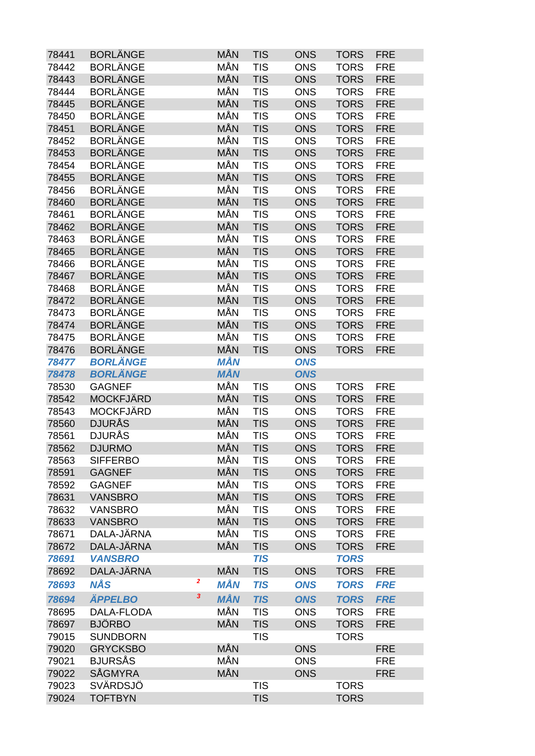| 78441 | <b>BORLÄNGE</b>   |   | <b>MÅN</b> | <b>TIS</b> | <b>ONS</b> | <b>TORS</b> | <b>FRE</b> |
|-------|-------------------|---|------------|------------|------------|-------------|------------|
| 78442 | <b>BORLÄNGE</b>   |   | MÅN        | <b>TIS</b> | <b>ONS</b> | <b>TORS</b> | <b>FRE</b> |
| 78443 | <b>BORLÄNGE</b>   |   | <b>MÅN</b> | <b>TIS</b> | <b>ONS</b> | <b>TORS</b> | <b>FRE</b> |
| 78444 | <b>BORLÄNGE</b>   |   | MÅN        | <b>TIS</b> | <b>ONS</b> | <b>TORS</b> | <b>FRE</b> |
| 78445 | <b>BORLÄNGE</b>   |   | MÅN        | <b>TIS</b> | <b>ONS</b> | <b>TORS</b> | <b>FRE</b> |
| 78450 | <b>BORLÄNGE</b>   |   | MÅN        | <b>TIS</b> | <b>ONS</b> | <b>TORS</b> | <b>FRE</b> |
| 78451 | <b>BORLÄNGE</b>   |   | <b>MÅN</b> | <b>TIS</b> | <b>ONS</b> | <b>TORS</b> | <b>FRE</b> |
| 78452 | <b>BORLÄNGE</b>   |   | MÅN        | <b>TIS</b> | <b>ONS</b> | <b>TORS</b> | <b>FRE</b> |
| 78453 | <b>BORLÄNGE</b>   |   | MÅN        | <b>TIS</b> | <b>ONS</b> | <b>TORS</b> | <b>FRE</b> |
| 78454 | <b>BORLÄNGE</b>   |   | <b>MÅN</b> | <b>TIS</b> | <b>ONS</b> | <b>TORS</b> | <b>FRE</b> |
| 78455 | <b>BORLÄNGE</b>   |   | <b>MÅN</b> | <b>TIS</b> | <b>ONS</b> | <b>TORS</b> | <b>FRE</b> |
| 78456 | <b>BORLÄNGE</b>   |   | MÅN        | <b>TIS</b> | <b>ONS</b> | <b>TORS</b> | <b>FRE</b> |
| 78460 | <b>BORLÄNGE</b>   |   | <b>MÅN</b> | <b>TIS</b> | <b>ONS</b> | <b>TORS</b> | <b>FRE</b> |
| 78461 | <b>BORLÄNGE</b>   |   | MÅN        | <b>TIS</b> | <b>ONS</b> | <b>TORS</b> | <b>FRE</b> |
| 78462 | <b>BORLÄNGE</b>   |   | MÅN        | <b>TIS</b> | <b>ONS</b> | <b>TORS</b> | <b>FRE</b> |
| 78463 | <b>BORLÄNGE</b>   |   | MÅN        | <b>TIS</b> | <b>ONS</b> | <b>TORS</b> | <b>FRE</b> |
| 78465 | <b>BORLÄNGE</b>   |   | <b>MÅN</b> | <b>TIS</b> | <b>ONS</b> | <b>TORS</b> | <b>FRE</b> |
| 78466 | <b>BORLÄNGE</b>   |   | MÅN        | <b>TIS</b> | <b>ONS</b> | <b>TORS</b> | <b>FRE</b> |
| 78467 | <b>BORLÄNGE</b>   |   | MÅN        | <b>TIS</b> | <b>ONS</b> | <b>TORS</b> | <b>FRE</b> |
|       | <b>BORLÄNGE</b>   |   | MÅN        |            | <b>ONS</b> |             | <b>FRE</b> |
| 78468 | <b>BORLÄNGE</b>   |   | <b>MÅN</b> | <b>TIS</b> |            | <b>TORS</b> |            |
| 78472 |                   |   |            | <b>TIS</b> | <b>ONS</b> | <b>TORS</b> | <b>FRE</b> |
| 78473 | <b>BORLÄNGE</b>   |   | MÅN        | <b>TIS</b> | <b>ONS</b> | <b>TORS</b> | <b>FRE</b> |
| 78474 | <b>BORLÄNGE</b>   |   | MÅN        | <b>TIS</b> | <b>ONS</b> | <b>TORS</b> | <b>FRE</b> |
| 78475 | <b>BORLÄNGE</b>   |   | MÅN        | <b>TIS</b> | <b>ONS</b> | <b>TORS</b> | <b>FRE</b> |
| 78476 | <b>BORLÄNGE</b>   |   | <b>MÅN</b> | <b>TIS</b> | <b>ONS</b> | <b>TORS</b> | <b>FRE</b> |
| 78477 | <b>BORLÄNGE</b>   |   | <b>MÅN</b> |            | <b>ONS</b> |             |            |
| 78478 | <b>BORLÄNGE</b>   |   | <b>MÅN</b> |            | <b>ONS</b> |             |            |
| 78530 | <b>GAGNEF</b>     |   | <b>MÅN</b> | <b>TIS</b> | <b>ONS</b> | <b>TORS</b> | <b>FRE</b> |
| 78542 | <b>MOCKFJÄRD</b>  |   | <b>MÅN</b> | <b>TIS</b> | <b>ONS</b> | <b>TORS</b> | <b>FRE</b> |
| 78543 | <b>MOCKFJÄRD</b>  |   | MÅN        | <b>TIS</b> | <b>ONS</b> | <b>TORS</b> | <b>FRE</b> |
| 78560 | <b>DJURÅS</b>     |   | <b>MÅN</b> | <b>TIS</b> | <b>ONS</b> | <b>TORS</b> | <b>FRE</b> |
| 78561 | <b>DJURÅS</b>     |   | MÅN        | <b>TIS</b> | <b>ONS</b> | <b>TORS</b> | <b>FRE</b> |
| 78562 | <b>DJURMO</b>     |   | MÅN        | <b>TIS</b> | <b>ONS</b> | <b>TORS</b> | <b>FRE</b> |
| 78563 | <b>SIFFERBO</b>   |   | MÅN        | <b>TIS</b> | <b>ONS</b> | <b>TORS</b> | <b>FRE</b> |
| 78591 | <b>GAGNEF</b>     |   | MÅN        | <b>TIS</b> | <b>ONS</b> | <b>TORS</b> | <b>FRE</b> |
| 78592 | <b>GAGNEF</b>     |   | MÅN        | <b>TIS</b> | <b>ONS</b> | <b>TORS</b> | <b>FRE</b> |
| 78631 | <b>VANSBRO</b>    |   | MÅN        | <b>TIS</b> | <b>ONS</b> | <b>TORS</b> | <b>FRE</b> |
| 78632 | <b>VANSBRO</b>    |   | MÅN        | <b>TIS</b> | <b>ONS</b> | <b>TORS</b> | <b>FRE</b> |
| 78633 | <b>VANSBRO</b>    |   | <b>MÅN</b> | <b>TIS</b> | <b>ONS</b> | <b>TORS</b> | <b>FRE</b> |
| 78671 | DALA-JÄRNA        |   | MÅN        | <b>TIS</b> | <b>ONS</b> | <b>TORS</b> | <b>FRE</b> |
| 78672 | DALA-JÄRNA        |   | MÅN        | <b>TIS</b> | <b>ONS</b> | <b>TORS</b> | <b>FRE</b> |
| 78691 | <b>VANSBRO</b>    |   |            | <b>TIS</b> |            | <b>TORS</b> |            |
| 78692 | DALA-JÄRNA        |   | <b>MÅN</b> | <b>TIS</b> | <b>ONS</b> | <b>TORS</b> | <b>FRE</b> |
| 78693 | <b>NÅS</b>        | 2 | MÅN        | <b>TIS</b> | <b>ONS</b> | <b>TORS</b> | <b>FRE</b> |
| 78694 | <b>ÄPPELBO</b>    | 3 | <b>MÅN</b> | <b>TIS</b> | <b>ONS</b> | <b>TORS</b> | <b>FRE</b> |
| 78695 | <b>DALA-FLODA</b> |   | MÅN        | <b>TIS</b> | <b>ONS</b> | <b>TORS</b> | <b>FRE</b> |
| 78697 | <b>BJÖRBO</b>     |   | MÅN        | <b>TIS</b> | <b>ONS</b> | <b>TORS</b> | <b>FRE</b> |
| 79015 | <b>SUNDBORN</b>   |   |            | <b>TIS</b> |            | <b>TORS</b> |            |
| 79020 | <b>GRYCKSBO</b>   |   | MÅN        |            | <b>ONS</b> |             | <b>FRE</b> |
|       |                   |   | MÅN        |            |            |             |            |
| 79021 | <b>BJURSÅS</b>    |   | MÅN        |            | <b>ONS</b> |             | <b>FRE</b> |
| 79022 | <b>SÅGMYRA</b>    |   |            |            | <b>ONS</b> |             | <b>FRE</b> |
| 79023 | <b>SVÄRDSJÖ</b>   |   |            | <b>TIS</b> |            | <b>TORS</b> |            |
| 79024 | <b>TOFTBYN</b>    |   |            | <b>TIS</b> |            | <b>TORS</b> |            |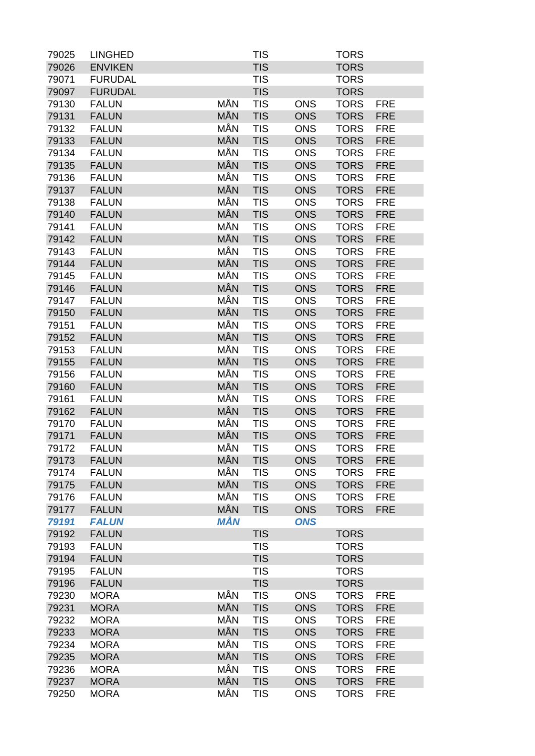| 79025 | <b>LINGHED</b> |            | <b>TIS</b> |            | <b>TORS</b> |            |
|-------|----------------|------------|------------|------------|-------------|------------|
| 79026 | <b>ENVIKEN</b> |            | <b>TIS</b> |            | <b>TORS</b> |            |
| 79071 | <b>FURUDAL</b> |            | <b>TIS</b> |            | <b>TORS</b> |            |
| 79097 | <b>FURUDAL</b> |            | <b>TIS</b> |            | <b>TORS</b> |            |
| 79130 | <b>FALUN</b>   | MÅN        | <b>TIS</b> | <b>ONS</b> | <b>TORS</b> | <b>FRE</b> |
| 79131 | <b>FALUN</b>   | MÅN        | <b>TIS</b> | <b>ONS</b> | <b>TORS</b> | <b>FRE</b> |
| 79132 | <b>FALUN</b>   | MÅN        | <b>TIS</b> | <b>ONS</b> | <b>TORS</b> | <b>FRE</b> |
| 79133 | <b>FALUN</b>   | MÅN        | <b>TIS</b> | <b>ONS</b> | <b>TORS</b> | <b>FRE</b> |
| 79134 | <b>FALUN</b>   | MÅN        | <b>TIS</b> | <b>ONS</b> | <b>TORS</b> | <b>FRE</b> |
| 79135 | <b>FALUN</b>   | <b>MÅN</b> | <b>TIS</b> | <b>ONS</b> | <b>TORS</b> | <b>FRE</b> |
| 79136 | <b>FALUN</b>   | MÅN        | <b>TIS</b> | <b>ONS</b> | <b>TORS</b> | <b>FRE</b> |
| 79137 | <b>FALUN</b>   | MÅN        | <b>TIS</b> | <b>ONS</b> | <b>TORS</b> | <b>FRE</b> |
| 79138 | <b>FALUN</b>   | MÅN        | <b>TIS</b> | <b>ONS</b> | <b>TORS</b> | <b>FRE</b> |
| 79140 | <b>FALUN</b>   | MÅN        | <b>TIS</b> | <b>ONS</b> | <b>TORS</b> | <b>FRE</b> |
| 79141 | <b>FALUN</b>   | MÅN        | <b>TIS</b> | <b>ONS</b> | <b>TORS</b> | <b>FRE</b> |
| 79142 | <b>FALUN</b>   | MÅN        | <b>TIS</b> | <b>ONS</b> | <b>TORS</b> | <b>FRE</b> |
| 79143 | <b>FALUN</b>   | MÅN        | <b>TIS</b> | <b>ONS</b> | <b>TORS</b> | <b>FRE</b> |
| 79144 | <b>FALUN</b>   | <b>MÅN</b> | <b>TIS</b> | <b>ONS</b> | <b>TORS</b> | <b>FRE</b> |
| 79145 | <b>FALUN</b>   | MÅN        | <b>TIS</b> | <b>ONS</b> | <b>TORS</b> | <b>FRE</b> |
| 79146 | <b>FALUN</b>   | MÅN        | <b>TIS</b> | <b>ONS</b> | <b>TORS</b> | <b>FRE</b> |
| 79147 | <b>FALUN</b>   | MÅN        | <b>TIS</b> | <b>ONS</b> | <b>TORS</b> | <b>FRE</b> |
| 79150 | <b>FALUN</b>   | <b>MÅN</b> | <b>TIS</b> | <b>ONS</b> | <b>TORS</b> | <b>FRE</b> |
| 79151 | <b>FALUN</b>   | MÅN        | <b>TIS</b> | <b>ONS</b> | <b>TORS</b> | <b>FRE</b> |
| 79152 | <b>FALUN</b>   | <b>MÅN</b> | <b>TIS</b> | <b>ONS</b> | <b>TORS</b> | <b>FRE</b> |
| 79153 | <b>FALUN</b>   | MÅN        | <b>TIS</b> | <b>ONS</b> | <b>TORS</b> | <b>FRE</b> |
| 79155 | <b>FALUN</b>   | MÅN        | <b>TIS</b> | <b>ONS</b> | <b>TORS</b> | <b>FRE</b> |
| 79156 | <b>FALUN</b>   | MÅN        | <b>TIS</b> | <b>ONS</b> | <b>TORS</b> | <b>FRE</b> |
| 79160 | <b>FALUN</b>   | MÅN        | <b>TIS</b> | <b>ONS</b> | <b>TORS</b> | <b>FRE</b> |
| 79161 | <b>FALUN</b>   | MÅN        | <b>TIS</b> | <b>ONS</b> | <b>TORS</b> | <b>FRE</b> |
| 79162 | <b>FALUN</b>   | MÅN        | <b>TIS</b> | <b>ONS</b> | <b>TORS</b> | <b>FRE</b> |
| 79170 | <b>FALUN</b>   | MÅN        | <b>TIS</b> | <b>ONS</b> | <b>TORS</b> | <b>FRE</b> |
| 79171 | <b>FALUN</b>   | <b>MÅN</b> | <b>TIS</b> | <b>ONS</b> | <b>TORS</b> | <b>FRE</b> |
| 79172 | <b>FALUN</b>   | MÅN        | <b>TIS</b> | <b>ONS</b> | <b>TORS</b> | <b>FRE</b> |
| 79173 | <b>FALUN</b>   | <b>MÅN</b> | <b>TIS</b> | <b>ONS</b> | <b>TORS</b> | <b>FRE</b> |
| 79174 | <b>FALUN</b>   | MÅN        | <b>TIS</b> | <b>ONS</b> | <b>TORS</b> | <b>FRE</b> |
| 79175 | <b>FALUN</b>   | MÅN        | <b>TIS</b> | <b>ONS</b> | <b>TORS</b> | <b>FRE</b> |
| 79176 | <b>FALUN</b>   | MÅN        | <b>TIS</b> | <b>ONS</b> | <b>TORS</b> | <b>FRE</b> |
| 79177 | <b>FALUN</b>   | MÅN        | <b>TIS</b> | <b>ONS</b> | <b>TORS</b> | <b>FRE</b> |
| 79191 | <b>FALUN</b>   | <b>MÅN</b> |            | <b>ONS</b> |             |            |
| 79192 | <b>FALUN</b>   |            | <b>TIS</b> |            | <b>TORS</b> |            |
| 79193 | <b>FALUN</b>   |            | <b>TIS</b> |            | <b>TORS</b> |            |
| 79194 | <b>FALUN</b>   |            | <b>TIS</b> |            | <b>TORS</b> |            |
| 79195 | <b>FALUN</b>   |            | <b>TIS</b> |            | <b>TORS</b> |            |
| 79196 | <b>FALUN</b>   |            | <b>TIS</b> |            | <b>TORS</b> |            |
| 79230 | <b>MORA</b>    | MÅN        | <b>TIS</b> | <b>ONS</b> | <b>TORS</b> | <b>FRE</b> |
| 79231 | <b>MORA</b>    | MÅN        | <b>TIS</b> | <b>ONS</b> | <b>TORS</b> | <b>FRE</b> |
| 79232 | <b>MORA</b>    | MÅN        | <b>TIS</b> | <b>ONS</b> | <b>TORS</b> | <b>FRE</b> |
| 79233 | <b>MORA</b>    | <b>MÅN</b> | <b>TIS</b> | <b>ONS</b> | <b>TORS</b> | <b>FRE</b> |
| 79234 | <b>MORA</b>    | MÅN        | <b>TIS</b> | <b>ONS</b> | <b>TORS</b> | <b>FRE</b> |
| 79235 | <b>MORA</b>    | <b>MÅN</b> | <b>TIS</b> | <b>ONS</b> | <b>TORS</b> | <b>FRE</b> |
| 79236 | <b>MORA</b>    | MÅN        | <b>TIS</b> | <b>ONS</b> | <b>TORS</b> | <b>FRE</b> |
| 79237 | <b>MORA</b>    | MÅN        | <b>TIS</b> | <b>ONS</b> | <b>TORS</b> | <b>FRE</b> |
| 79250 | <b>MORA</b>    | MÅN        | <b>TIS</b> | <b>ONS</b> | <b>TORS</b> | <b>FRE</b> |
|       |                |            |            |            |             |            |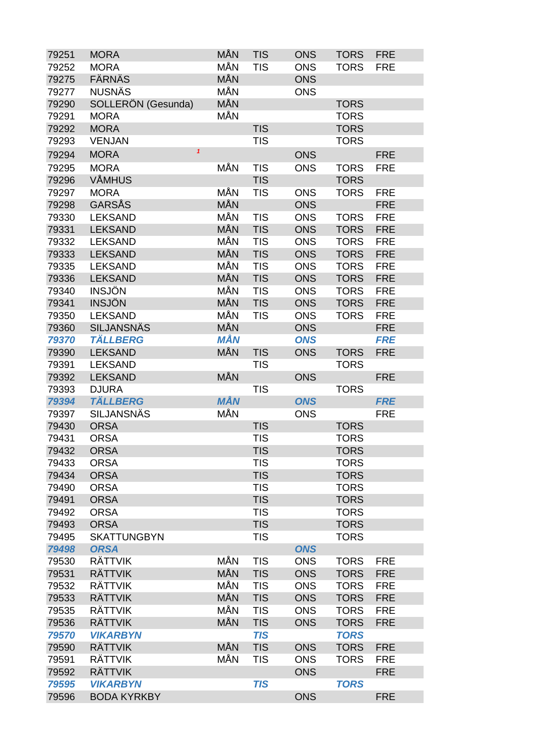| 79251 | <b>MORA</b>                           | MÅN        | <b>TIS</b> | <b>ONS</b> | <b>TORS</b> | <b>FRE</b> |
|-------|---------------------------------------|------------|------------|------------|-------------|------------|
| 79252 | <b>MORA</b>                           | MÅN        | <b>TIS</b> | <b>ONS</b> | <b>TORS</b> | <b>FRE</b> |
| 79275 | <b>FÄRNÄS</b>                         | MÅN        |            | <b>ONS</b> |             |            |
| 79277 | <b>NUSNÄS</b>                         | MÅN        |            | <b>ONS</b> |             |            |
| 79290 | SOLLERÖN (Gesunda)                    | MÅN        |            |            | <b>TORS</b> |            |
| 79291 | <b>MORA</b>                           | MÅN        |            |            | <b>TORS</b> |            |
| 79292 | <b>MORA</b>                           |            | <b>TIS</b> |            | <b>TORS</b> |            |
| 79293 | <b>VENJAN</b>                         |            | <b>TIS</b> |            | <b>TORS</b> |            |
| 79294 | $\mathbf{1}$<br><b>MORA</b>           |            |            | <b>ONS</b> |             | <b>FRE</b> |
|       |                                       |            |            |            |             |            |
| 79295 | <b>MORA</b>                           | MÅN        | <b>TIS</b> | <b>ONS</b> | <b>TORS</b> | <b>FRE</b> |
| 79296 | VÅMHUS                                |            | <b>TIS</b> |            | <b>TORS</b> |            |
| 79297 | <b>MORA</b>                           | MÅN        | <b>TIS</b> | <b>ONS</b> | <b>TORS</b> | <b>FRE</b> |
| 79298 | <b>GARSÅS</b>                         | MÅN        |            | <b>ONS</b> |             | <b>FRE</b> |
| 79330 | <b>LEKSAND</b>                        | MÅN        | <b>TIS</b> | <b>ONS</b> | <b>TORS</b> | <b>FRE</b> |
| 79331 | <b>LEKSAND</b>                        | MÅN        | <b>TIS</b> | <b>ONS</b> | <b>TORS</b> | <b>FRE</b> |
| 79332 | <b>LEKSAND</b>                        | MÅN        | <b>TIS</b> | <b>ONS</b> | <b>TORS</b> | <b>FRE</b> |
| 79333 | <b>LEKSAND</b>                        | MÅN        | <b>TIS</b> | <b>ONS</b> | <b>TORS</b> | <b>FRE</b> |
| 79335 | <b>LEKSAND</b>                        | MÅN        | <b>TIS</b> | <b>ONS</b> | <b>TORS</b> | <b>FRE</b> |
| 79336 | <b>LEKSAND</b>                        | MÅN        | <b>TIS</b> | <b>ONS</b> | <b>TORS</b> | <b>FRE</b> |
| 79340 | <b>INSJÖN</b>                         | MÅN        | <b>TIS</b> | <b>ONS</b> | <b>TORS</b> | <b>FRE</b> |
| 79341 | <b>INSJÖN</b>                         | MÅN        | <b>TIS</b> | <b>ONS</b> | <b>TORS</b> | <b>FRE</b> |
| 79350 | <b>LEKSAND</b>                        | MÅN        | <b>TIS</b> | <b>ONS</b> | <b>TORS</b> | <b>FRE</b> |
| 79360 | <b>SILJANSNÄS</b>                     | MÅN        |            | <b>ONS</b> |             | <b>FRE</b> |
| 79370 | <b>TÄLLBERG</b>                       | <b>MÅN</b> |            | <b>ONS</b> |             | <b>FRE</b> |
| 79390 | <b>LEKSAND</b>                        | MÅN        | <b>TIS</b> | <b>ONS</b> | <b>TORS</b> | <b>FRE</b> |
| 79391 | <b>LEKSAND</b>                        |            | <b>TIS</b> |            | <b>TORS</b> |            |
| 79392 | <b>LEKSAND</b>                        | MÅN        |            | <b>ONS</b> |             | <b>FRE</b> |
| 79393 | <b>DJURA</b>                          |            | <b>TIS</b> |            | <b>TORS</b> |            |
| 79394 | <b>TÄLLBERG</b>                       | <b>MÅN</b> |            | <b>ONS</b> |             | <b>FRE</b> |
| 79397 | <b>SILJANSNÄS</b>                     | MÅN        |            | <b>ONS</b> |             | <b>FRE</b> |
| 79430 | <b>ORSA</b>                           |            | <b>TIS</b> |            | <b>TORS</b> |            |
| 79431 | <b>ORSA</b>                           |            | <b>TIS</b> |            | <b>TORS</b> |            |
| 79432 | <b>ORSA</b>                           |            | <b>TIS</b> |            | <b>TORS</b> |            |
| 79433 |                                       |            |            |            |             |            |
|       |                                       |            |            |            |             |            |
|       | <b>ORSA</b>                           |            | TIS        |            | <b>TORS</b> |            |
| 79434 | <b>ORSA</b>                           |            | <b>TIS</b> |            | <b>TORS</b> |            |
| 79490 | <b>ORSA</b>                           |            | <b>TIS</b> |            | <b>TORS</b> |            |
| 79491 | <b>ORSA</b>                           |            | <b>TIS</b> |            | <b>TORS</b> |            |
| 79492 | <b>ORSA</b>                           |            | <b>TIS</b> |            | <b>TORS</b> |            |
| 79493 | <b>ORSA</b>                           |            | <b>TIS</b> |            | <b>TORS</b> |            |
| 79495 | <b>SKATTUNGBYN</b>                    |            | <b>TIS</b> |            | <b>TORS</b> |            |
| 79498 | <b>ORSA</b>                           |            |            | <b>ONS</b> |             |            |
| 79530 | <b>RÄTTVIK</b>                        | MÅN        | <b>TIS</b> | <b>ONS</b> | <b>TORS</b> | <b>FRE</b> |
| 79531 | <b>RÄTTVIK</b>                        | MÅN        | <b>TIS</b> | <b>ONS</b> | <b>TORS</b> | <b>FRE</b> |
| 79532 | <b>RÄTTVIK</b>                        | MÅN        | <b>TIS</b> | <b>ONS</b> | <b>TORS</b> | <b>FRE</b> |
| 79533 | <b>RÄTTVIK</b>                        | MÅN        | <b>TIS</b> | <b>ONS</b> | <b>TORS</b> | <b>FRE</b> |
| 79535 | <b>RÄTTVIK</b>                        | MÅN        | <b>TIS</b> | <b>ONS</b> | <b>TORS</b> | <b>FRE</b> |
| 79536 | <b>RÄTTVIK</b>                        | MÅN        | <b>TIS</b> | <b>ONS</b> | <b>TORS</b> | <b>FRE</b> |
| 79570 | <b>VIKARBYN</b>                       |            | <b>TIS</b> |            | <b>TORS</b> |            |
| 79590 | <b>RÄTTVIK</b>                        | MÅN        | <b>TIS</b> | <b>ONS</b> | <b>TORS</b> | <b>FRE</b> |
| 79591 | RÄTTVIK                               | MÅN        | <b>TIS</b> | <b>ONS</b> | <b>TORS</b> | <b>FRE</b> |
| 79592 | <b>RÄTTVIK</b>                        |            |            | <b>ONS</b> |             | <b>FRE</b> |
| 79595 | <b>VIKARBYN</b><br><b>BODA KYRKBY</b> |            | <b>TIS</b> |            | <b>TORS</b> |            |